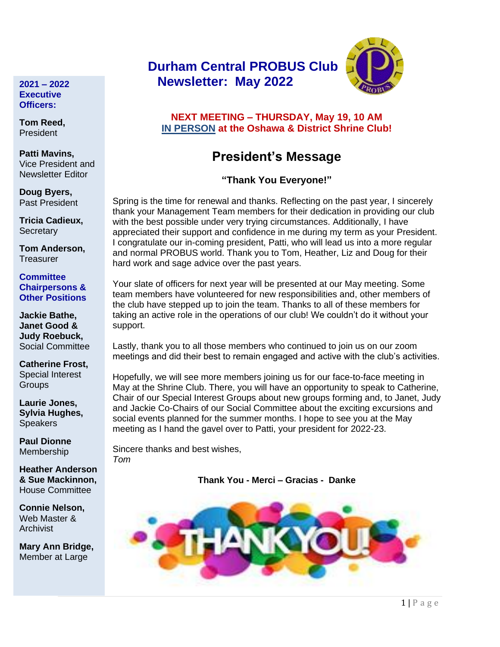#### **2021 – 2022 Executive Officers:**

**Tom Reed,**  President

**Patti Mavins,**  Vice President and Newsletter Editor

**Doug Byers,** Past President

**Tricia Cadieux, Secretary** 

**Tom Anderson, Treasurer** 

**Committee Chairpersons & Other Positions**

**Jackie Bathe, Janet Good & Judy Roebuck,** Social Committee

**Catherine Frost,** Special Interest **Groups** 

**Laurie Jones, Sylvia Hughes, Speakers** 

**Paul Dionne** Membership

**Heather Anderson & Sue Mackinnon,** House Committee

**Connie Nelson,** Web Master & Archivist

**Mary Ann Bridge,** Member at Large

# **Durham Central PROBUS Club Newsletter: May 2022**



## **NEXT MEETING – THURSDAY, May 19, 10 AM IN PERSON at the Oshawa & District Shrine Club!**

# **President's Message**

# **"Thank You Everyone!"**

Spring is the time for renewal and thanks. Reflecting on the past year, I sincerely thank your Management Team members for their dedication in providing our club with the best possible under very trying circumstances. Additionally, I have appreciated their support and confidence in me during my term as your President. I congratulate our in-coming president, Patti, who will lead us into a more regular and normal PROBUS world. Thank you to Tom, Heather, Liz and Doug for their hard work and sage advice over the past years.

Your slate of officers for next year will be presented at our May meeting. Some team members have volunteered for new responsibilities and, other members of the club have stepped up to join the team. Thanks to all of these members for taking an active role in the operations of our club! We couldn't do it without your support.

Lastly, thank you to all those members who continued to join us on our zoom meetings and did their best to remain engaged and active with the club's activities.

Hopefully, we will see more members joining us for our face-to-face meeting in May at the Shrine Club. There, you will have an opportunity to speak to Catherine, Chair of our Special Interest Groups about new groups forming and, to Janet, Judy and Jackie Co-Chairs of our Social Committee about the exciting excursions and social events planned for the summer months. I hope to see you at the May meeting as I hand the gavel over to Patti, your president for 2022-23.

Sincere thanks and best wishes, *Tom*

**Thank You - Merci – Gracias - Danke**

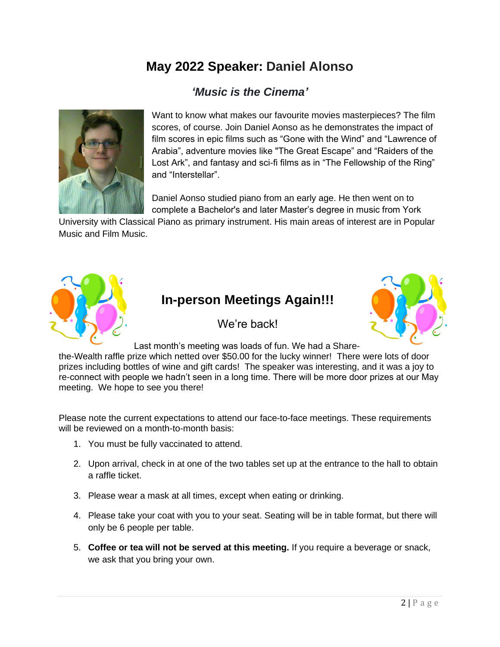# **May 2022 Speaker: Daniel Alonso**

# *'Music is the Cinema'*



Want to know what makes our favourite movies masterpieces? The film scores, of course. Join Daniel Aonso as he demonstrates the impact of film scores in epic films such as "Gone with the Wind" and "Lawrence of Arabia", adventure movies like "The Great Escape" and "Raiders of the Lost Ark", and fantasy and sci-fi films as in "The Fellowship of the Ring" and "Interstellar".

Daniel Aonso studied piano from an early age. He then went on to complete a Bachelor's and later Master's degree in music from York

University with Classical Piano as primary instrument. His main areas of interest are in Popular Music and Film Music.



# **In-person Meetings Again!!!**



Last month's meeting was loads of fun. We had a Share-

We're back!

the-Wealth raffle prize which netted over \$50.00 for the lucky winner! There were lots of door prizes including bottles of wine and gift cards! The speaker was interesting, and it was a joy to re-connect with people we hadn't seen in a long time. There will be more door prizes at our May meeting. We hope to see you there!

Please note the current expectations to attend our face-to-face meetings. These requirements will be reviewed on a month-to-month basis:

- 1. You must be fully vaccinated to attend.
- 2. Upon arrival, check in at one of the two tables set up at the entrance to the hall to obtain a raffle ticket.
- 3. Please wear a mask at all times, except when eating or drinking.
- 4. Please take your coat with you to your seat. Seating will be in table format, but there will only be 6 people per table.
- 5. **Coffee or tea will not be served at this meeting.** If you require a beverage or snack, we ask that you bring your own.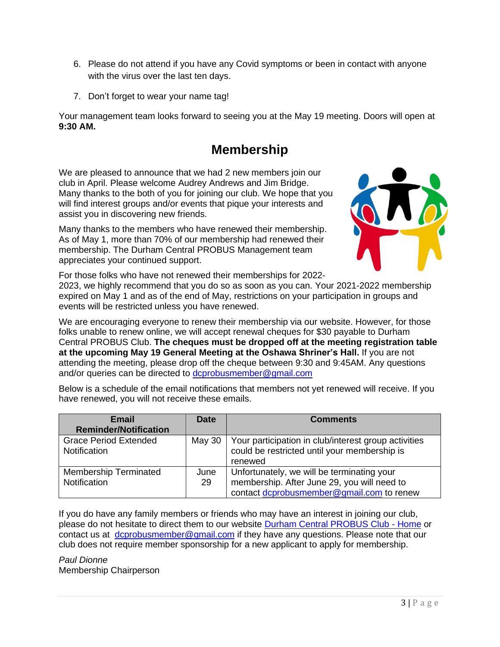- 6. Please do not attend if you have any Covid symptoms or been in contact with anyone with the virus over the last ten days.
- 7. Don't forget to wear your name tag!

Your management team looks forward to seeing you at the May 19 meeting. Doors will open at **9:30 AM.**

# **Membership**

We are pleased to announce that we had 2 new members join our club in April. Please welcome Audrey Andrews and Jim Bridge. Many thanks to the both of you for joining our club. We hope that you will find interest groups and/or events that pique your interests and assist you in discovering new friends.

Many thanks to the members who have renewed their membership. As of May 1, more than 70% of our membership had renewed their membership. The Durham Central PROBUS Management team appreciates your continued support.



For those folks who have not renewed their memberships for 2022-

2023, we highly recommend that you do so as soon as you can. Your 2021-2022 membership expired on May 1 and as of the end of May, restrictions on your participation in groups and events will be restricted unless you have renewed.

We are encouraging everyone to renew their membership via our website. However, for those folks unable to renew online, we will accept renewal cheques for \$30 payable to Durham Central PROBUS Club. **The cheques must be dropped off at the meeting registration table at the upcoming May 19 General Meeting at the Oshawa Shriner's Hall.** If you are not attending the meeting, please drop off the cheque between 9:30 and 9:45AM. Any questions and/or queries can be directed to [dcprobusmember@gmail.com](mailto:dcprobusmember@gmail.com)

Below is a schedule of the email notifications that members not yet renewed will receive. If you have renewed, you will not receive these emails.

| <b>Email</b>                 | <b>Date</b> | <b>Comments</b>                                      |  |  |  |  |  |
|------------------------------|-------------|------------------------------------------------------|--|--|--|--|--|
| <b>Reminder/Notification</b> |             |                                                      |  |  |  |  |  |
| <b>Grace Period Extended</b> | May 30      | Your participation in club/interest group activities |  |  |  |  |  |
| <b>Notification</b>          |             | could be restricted until your membership is         |  |  |  |  |  |
|                              |             | renewed                                              |  |  |  |  |  |
| <b>Membership Terminated</b> | June        | Unfortunately, we will be terminating your           |  |  |  |  |  |
| Notification                 | 29          | membership. After June 29, you will need to          |  |  |  |  |  |
|                              |             | contact dcprobusmember@gmail.com to renew            |  |  |  |  |  |

If you do have any family members or friends who may have an interest in joining our club, please do not hesitate to direct them to our website [Durham Central PROBUS Club -](https://durhamcentralprobus.ca/) Home or contact us at [dcprobusmember@gmail.com](mailto:dcprobusmember@gmail.com) if they have any questions. Please note that our club does not require member sponsorship for a new applicant to apply for membership.

*Paul Dionne* Membership Chairperson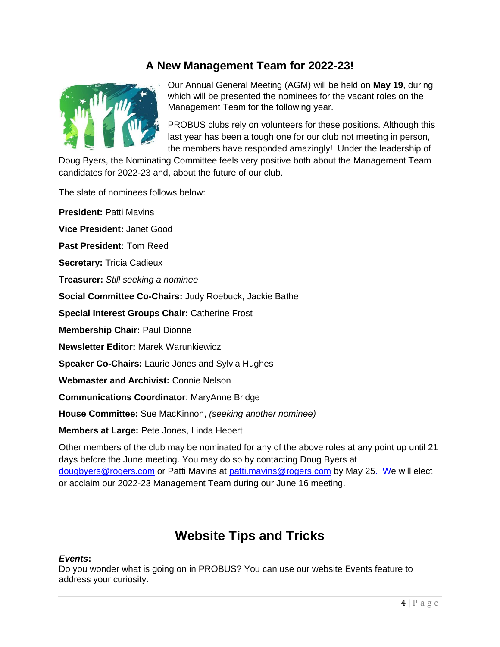# **A New Management Team for 2022-23!**



Our Annual General Meeting (AGM) will be held on **May 19**, during which will be presented the nominees for the vacant roles on the Management Team for the following year.

PROBUS clubs rely on volunteers for these positions. Although this last year has been a tough one for our club not meeting in person, the members have responded amazingly! Under the leadership of

Doug Byers, the Nominating Committee feels very positive both about the Management Team candidates for 2022-23 and, about the future of our club.

The slate of nominees follows below:

**President:** Patti Mavins **Vice President:** Janet Good **Past President:** Tom Reed **Secretary:** Tricia Cadieux **Treasurer:** *Still seeking a nominee* **Social Committee Co-Chairs:** Judy Roebuck, Jackie Bathe **Special Interest Groups Chair:** Catherine Frost **Membership Chair:** Paul Dionne **Newsletter Editor:** Marek Warunkiewicz **Speaker Co-Chairs:** Laurie Jones and Sylvia Hughes **Webmaster and Archivist:** Connie Nelson **Communications Coordinator**: MaryAnne Bridge **House Committee:** Sue MacKinnon, *(seeking another nominee)* **Members at Large:** Pete Jones, Linda Hebert

Other members of the club may be nominated for any of the above roles at any point up until 21 days before the June meeting. You may do so by contacting Doug Byers at [dougbyers@rogers.com](mailto:dougbyers@rogers.com) or Patti Mavins at [patti.mavins@rogers.com](mailto:patti.mavins@rogers.com) by May 25. We will elect or acclaim our 2022-23 Management Team during our June 16 meeting.

# **Website Tips and Tricks**

### *Events***:**

Do you wonder what is going on in PROBUS? You can use our website Events feature to address your curiosity.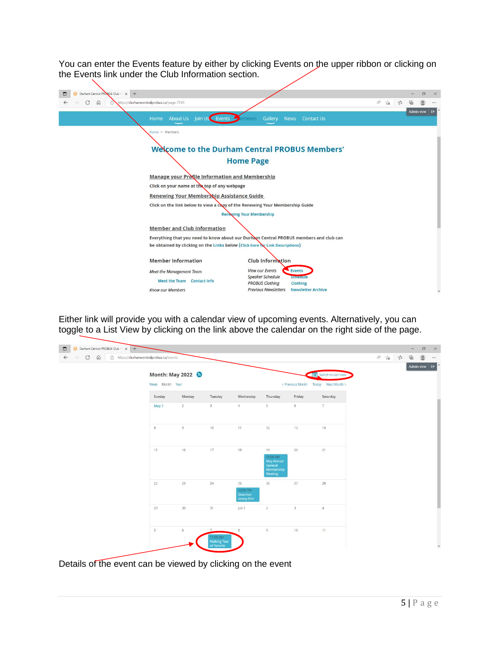You can enter the Events feature by either by clicking Events on the upper ribbon or clicking on the Events link under the Club Information section.

| Durham Central PROBUS Club - x +                                                                                                                                          |                                                                                                                                                                                                        |       |                      |       |            | $\sigma$ | $\times$                 |
|---------------------------------------------------------------------------------------------------------------------------------------------------------------------------|--------------------------------------------------------------------------------------------------------------------------------------------------------------------------------------------------------|-------|----------------------|-------|------------|----------|--------------------------|
| $\circ$<br>$\Omega$<br>https://durhamcentralprobus.ca/page-7745<br>A                                                                                                      |                                                                                                                                                                                                        | $A_p$ | $\tau_{\mathcal{O}}$ | $5 =$ | क़         |          |                          |
| About Us Join Us Events<br>Home                                                                                                                                           | Gallery News<br><b>Contact Us</b><br>embers                                                                                                                                                            |       |                      |       | Admin view |          | $\Theta$                 |
| Home > Members<br>Manage your Protile Information and Membership                                                                                                          | <b>Welcome to the Durham Central PROBUS Members'</b><br><b>Home Page</b>                                                                                                                               |       |                      |       |            |          |                          |
| Click on your name at the top of any webpage<br>Renewing Your Membership Assistance Guide<br>Click on the link below to view a copy of the Renewing Your Membership Guide | <b>Renewing Your Membership</b>                                                                                                                                                                        |       |                      |       |            |          |                          |
| <b>Member and Club Information</b><br>be obtained by clicking on the Links below (Click here by Link Descriptions)                                                        | Everything that you need to know about our Durham Central PROBUS members and club can                                                                                                                  |       |                      |       |            |          |                          |
| <b>Member Information</b><br>Meet the Management Team<br><b>Meet the Team Contact Info</b><br><b>Know our Members</b>                                                     | <b>Club Information</b><br><b>View our Events</b><br>Events<br><b>Speaker Schedule</b><br>Senteetile<br><b>PROBUS Clothing</b><br>Clothing<br><b>Previous Newsletters</b><br><b>Newsletter Archive</b> |       |                      |       |            |          | $\overline{\phantom{a}}$ |

Either link will provide you with a calendar view of upcoming events. Alternatively, you can toggle to a List View by clicking on the link above the calendar on the right side of the page.

|        | Month: May 2022<br>Switch to List View<br>Week Month Year<br>< Previous Month Today Next Month > |                                                          |                                                       |                                                                         |                |                |  |  | Admin view $\quad \leftrightarrow$ |         |
|--------|--------------------------------------------------------------------------------------------------|----------------------------------------------------------|-------------------------------------------------------|-------------------------------------------------------------------------|----------------|----------------|--|--|------------------------------------|---------|
| Sunday | Monday                                                                                           | Tuesday                                                  | Wednesday                                             | Thursday                                                                | Friday         | Saturday       |  |  |                                    |         |
| May 1  | $\overline{a}$                                                                                   | $\overline{3}$                                           | $\overline{4}$                                        | 5                                                                       | 6              | 7              |  |  |                                    |         |
| 8      | $\overline{9}$                                                                                   | 10                                                       | 11                                                    | 12                                                                      | 13             | 14             |  |  |                                    |         |
| 15     | 16                                                                                               | 17.                                                      | 18                                                    | 19<br>10:00 AM<br>May Annual<br>General<br>Membership<br><b>Meeting</b> | 20             | 21             |  |  |                                    |         |
| 22     | 23                                                                                               | 24                                                       | 25<br>12:00 PM<br><b>Downton</b><br><b>Abbey Film</b> | 26                                                                      | 27             | 28             |  |  |                                    |         |
| 29     | 30                                                                                               | 31                                                       | Jun 1                                                 | $\overline{2}$                                                          | $\overline{3}$ | $\overline{4}$ |  |  |                                    |         |
| 5      | $6$                                                                                              | $\overline{7}$<br>11:00 AM<br>Walking Tour<br>of Toronto | $\,$ 8 $\,$                                           | 9                                                                       | 10             | 11             |  |  |                                    | $\star$ |

Details of the event can be viewed by clicking on the event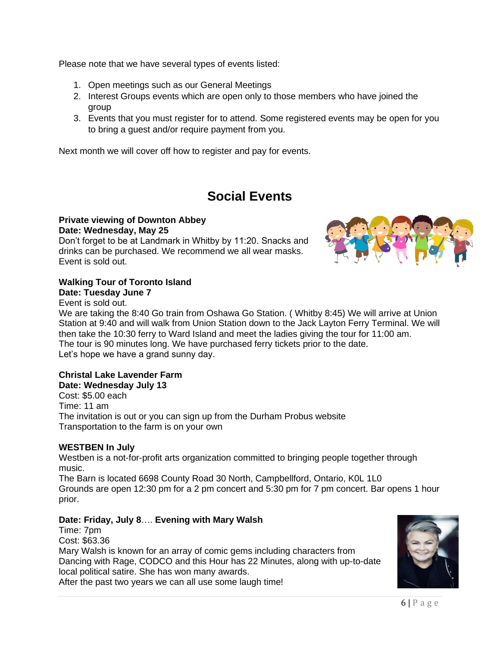Please note that we have several types of events listed:

- 1. Open meetings such as our General Meetings
- 2. Interest Groups events which are open only to those members who have joined the group
- 3. Events that you must register for to attend. Some registered events may be open for you to bring a guest and/or require payment from you.

Next month we will cover off how to register and pay for events.

# **Social Events**

#### **Private viewing of Downton Abbey Date: Wednesday, May 25**

Don't forget to be at Landmark in Whitby by 11:20. Snacks and drinks can be purchased. We recommend we all wear masks. Event is sold out.

#### **Walking Tour of Toronto Island Date: Tuesday June 7**

Event is sold out.

We are taking the 8:40 Go train from Oshawa Go Station. ( Whitby 8:45) We will arrive at Union Station at 9:40 and will walk from Union Station down to the Jack Layton Ferry Terminal. We will then take the 10:30 ferry to Ward Island and meet the ladies giving the tour for 11:00 am. The tour is 90 minutes long. We have purchased ferry tickets prior to the date. Let's hope we have a grand sunny day.

#### **Christal Lake Lavender Farm Date: Wednesday July 13**

Cost: \$5.00 each Time: 11 am The invitation is out or you can sign up from the Durham Probus website Transportation to the farm is on your own

### **WESTBEN In July**

Westben is a not-for-profit arts organization committed to bringing people together through music. The Barn is located 6698 County Road 30 North, Campbellford, Ontario, K0L 1L0

Grounds are open 12:30 pm for a 2 pm concert and 5:30 pm for 7 pm concert. Bar opens 1 hour prior.

### **Date: Friday, July 8**…. **Evening with Mary Walsh**

Time: 7pm Cost: \$63.36 Mary Walsh is known for an array of comic gems including characters from Dancing with Rage, CODCO and this Hour has 22 Minutes, along with up-to-date local political satire. She has won many awards. After the past two years we can all use some laugh time!



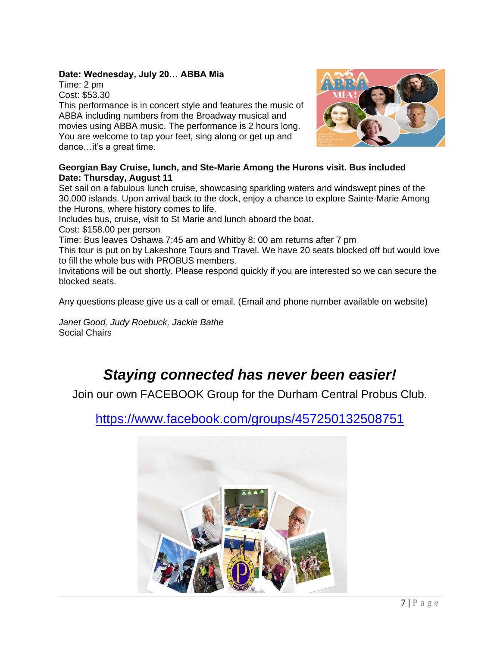### **Date: Wednesday, July 20… ABBA Mia**

Time: 2 pm Cost: \$53.30

This performance is in concert style and features the music of ABBA including numbers from the Broadway musical and movies using ABBA music. The performance is 2 hours long. You are welcome to tap your feet, sing along or get up and dance…it's a great time.



#### **Georgian Bay Cruise, lunch, and Ste-Marie Among the Hurons visit. Bus included Date: Thursday, August 11**

Set sail on a fabulous lunch cruise, showcasing sparkling waters and windswept pines of the 30,000 islands. Upon arrival back to the dock, enjoy a chance to explore Sainte-Marie Among the Hurons, where history comes to life.

Includes bus, cruise, visit to St Marie and lunch aboard the boat.

Cost: \$158.00 per person

Time: Bus leaves Oshawa 7:45 am and Whitby 8: 00 am returns after 7 pm

This tour is put on by Lakeshore Tours and Travel. We have 20 seats blocked off but would love to fill the whole bus with PROBUS members.

Invitations will be out shortly. Please respond quickly if you are interested so we can secure the blocked seats.

Any questions please give us a call or email. (Email and phone number available on website)

*Janet Good, Judy Roebuck, Jackie Bathe* Social Chairs

# *Staying connected has never been easier!*

Join our own FACEBOOK Group for the Durham Central Probus Club.

<https://www.facebook.com/groups/457250132508751>

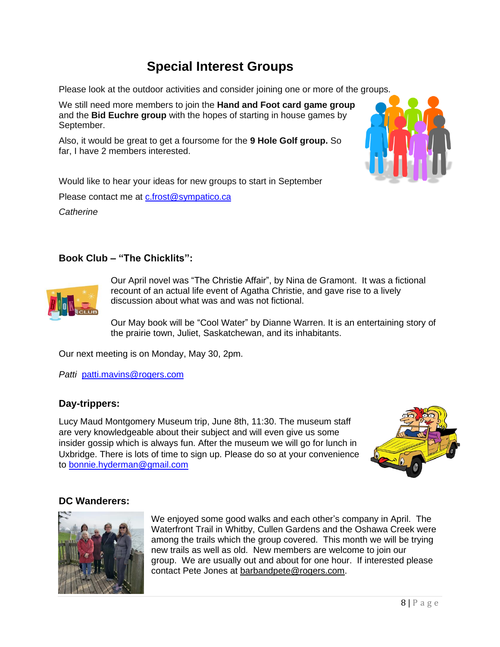# **Special Interest Groups**

Please look at the outdoor activities and consider joining one or more of the groups.

We still need more members to join the **Hand and Foot card game group** and the **Bid Euchre group** with the hopes of starting in house games by September.

Also, it would be great to get a foursome for the **9 Hole Golf group.** So far, I have 2 members interested.



Would like to hear your ideas for new groups to start in September Please contact me at [c.frost@sympatico.ca](mailto:c.frost@sympatico.ca) *Catherine*

## **Book Club – "The Chicklits":**



Our April novel was "The Christie Affair", by Nina de Gramont. It was a fictional recount of an actual life event of Agatha Christie, and gave rise to a lively discussion about what was and was not fictional.

Our May book will be "Cool Water" by Dianne Warren. It is an entertaining story of the prairie town, Juliet, Saskatchewan, and its inhabitants.

Our next meeting is on Monday, May 30, 2pm.

*Patti* [patti.mavins@rogers.com](mailto:patti.mavins@rogers.com)

## **Day-trippers:**

Lucy Maud Montgomery Museum trip, June 8th, 11:30. The museum staff are very knowledgeable about their subject and will even give us some insider gossip which is always fun. After the museum we will go for lunch in Uxbridge. There is lots of time to sign up. Please do so at your convenience to [bonnie.hyderman@gmail.com](mailto:bonnie.hyderman@gmail.com)



## **DC Wanderers:**



We enjoyed some good walks and each other's company in April. The Waterfront Trail in Whitby, Cullen Gardens and the Oshawa Creek were among the trails which the group covered. This month we will be trying new trails as well as old. New members are welcome to join our group. We are usually out and about for one hour. If interested please contact Pete Jones at [barbandpete@rogers.com.](mailto:barbandpete@rogers.com)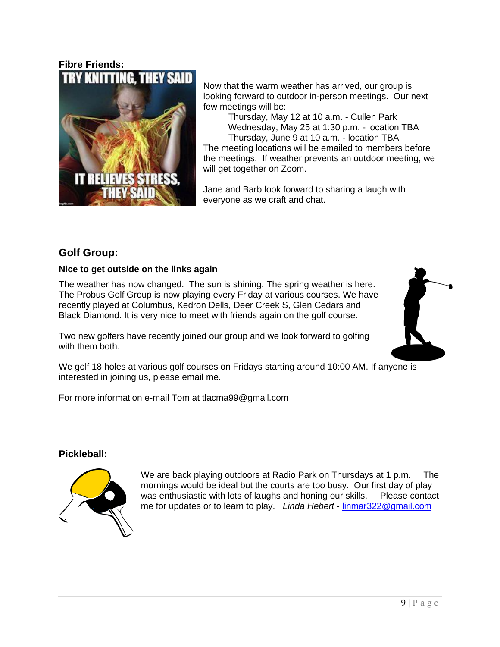## **Fibre Friends:** TRY KNITTING



Now that the warm weather has arrived, our group is looking forward to outdoor in-person meetings. Our next few meetings will be:

Thursday, May 12 at 10 a.m. - Cullen Park Wednesday, May 25 at 1:30 p.m. - location TBA Thursday, June 9 at 10 a.m. - location TBA The meeting locations will be emailed to members before the meetings. If weather prevents an outdoor meeting, we will get together on Zoom.

Jane and Barb look forward to sharing a laugh with everyone as we craft and chat.

# **Golf Group:**

### **Nice to get outside on the links again**

The weather has now changed. The sun is shining. The spring weather is here. The Probus Golf Group is now playing every Friday at various courses. We have recently played at Columbus, Kedron Dells, Deer Creek S, Glen Cedars and Black Diamond. It is very nice to meet with friends again on the golf course.

Two new golfers have recently joined our group and we look forward to golfing with them both.



We golf 18 holes at various golf courses on Fridays starting around 10:00 AM. If anyone is interested in joining us, please email me.

For more information e-mail Tom at tlacma99@gmail.com

## **Pickleball:**



We are back playing outdoors at Radio Park on Thursdays at 1 p.m. The mornings would be ideal but the courts are too busy. Our first day of play was enthusiastic with lots of laughs and honing our skills. Please contact me for updates or to learn to play. *Linda Hebert* - [linmar322@gmail.com](mailto:linmar322@gmail.com)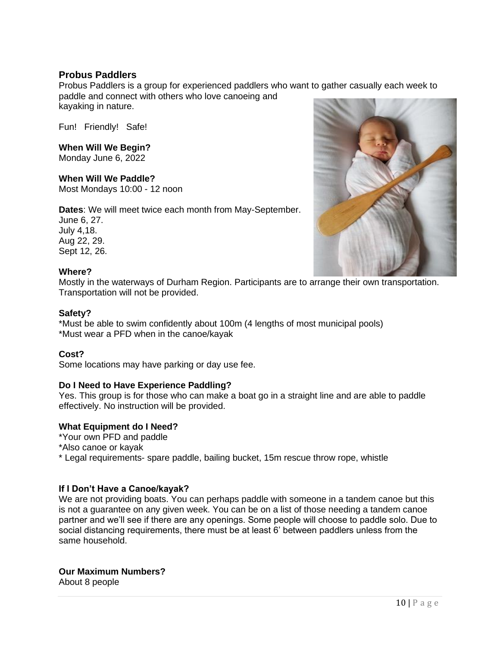### **Probus Paddlers**

Probus Paddlers is a group for experienced paddlers who want to gather casually each week to paddle and connect with others who love canoeing and kayaking in nature.

Fun! Friendly! Safe!

### **When Will We Begin?**

Monday June 6, 2022

#### **When Will We Paddle?**

Most Mondays 10:00 - 12 noon

**Dates**: We will meet twice each month from May-September.

June 6, 27. July 4,18. Aug 22, 29. Sept 12, 26.



#### **Where?**

Mostly in the waterways of Durham Region. Participants are to arrange their own transportation. Transportation will not be provided.

#### **Safety?**

\*Must be able to swim confidently about 100m (4 lengths of most municipal pools) \*Must wear a PFD when in the canoe/kayak

### **Cost?**

Some locations may have parking or day use fee.

#### **Do I Need to Have Experience Paddling?**

Yes. This group is for those who can make a boat go in a straight line and are able to paddle effectively. No instruction will be provided.

### **What Equipment do I Need?**

\*Your own PFD and paddle

\*Also canoe or kayak

\* Legal requirements- spare paddle, bailing bucket, 15m rescue throw rope, whistle

#### **If I Don't Have a Canoe/kayak?**

We are not providing boats. You can perhaps paddle with someone in a tandem canoe but this is not a guarantee on any given week. You can be on a list of those needing a tandem canoe partner and we'll see if there are any openings. Some people will choose to paddle solo. Due to social distancing requirements, there must be at least 6' between paddlers unless from the same household.

#### **Our Maximum Numbers?**

About 8 people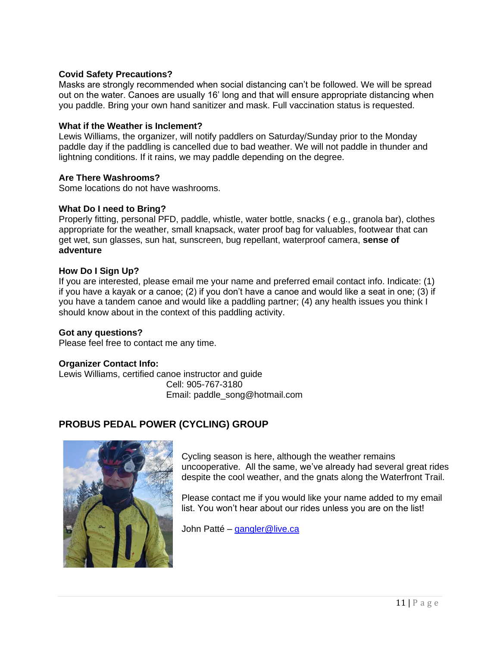### **Covid Safety Precautions?**

Masks are strongly recommended when social distancing can't be followed. We will be spread out on the water. Canoes are usually 16' long and that will ensure appropriate distancing when you paddle. Bring your own hand sanitizer and mask. Full vaccination status is requested.

### **What if the Weather is Inclement?**

Lewis Williams, the organizer, will notify paddlers on Saturday/Sunday prior to the Monday paddle day if the paddling is cancelled due to bad weather. We will not paddle in thunder and lightning conditions. If it rains, we may paddle depending on the degree.

#### **Are There Washrooms?**

Some locations do not have washrooms.

#### **What Do I need to Bring?**

Properly fitting, personal PFD, paddle, whistle, water bottle, snacks ( e.g., granola bar), clothes appropriate for the weather, small knapsack, water proof bag for valuables, footwear that can get wet, sun glasses, sun hat, sunscreen, bug repellant, waterproof camera, **sense of adventure**

#### **How Do I Sign Up?**

If you are interested, please email me your name and preferred email contact info. Indicate: (1) if you have a kayak or a canoe; (2) if you don't have a canoe and would like a seat in one; (3) if you have a tandem canoe and would like a paddling partner; (4) any health issues you think I should know about in the context of this paddling activity.

#### **Got any questions?**

Please feel free to contact me any time.

#### **Organizer Contact Info:**

Lewis Williams, certified canoe instructor and guide Cell: 905-767-3180 Email: paddle\_song@hotmail.com

## **PROBUS PEDAL POWER (CYCLING) GROUP**



Cycling season is here, although the weather remains uncooperative. All the same, we've already had several great rides despite the cool weather, and the gnats along the Waterfront Trail.

Please contact me if you would like your name added to my email list. You won't hear about our rides unless you are on the list!

John Patté – [gangler@live.ca](mailto:gangler@live.ca)